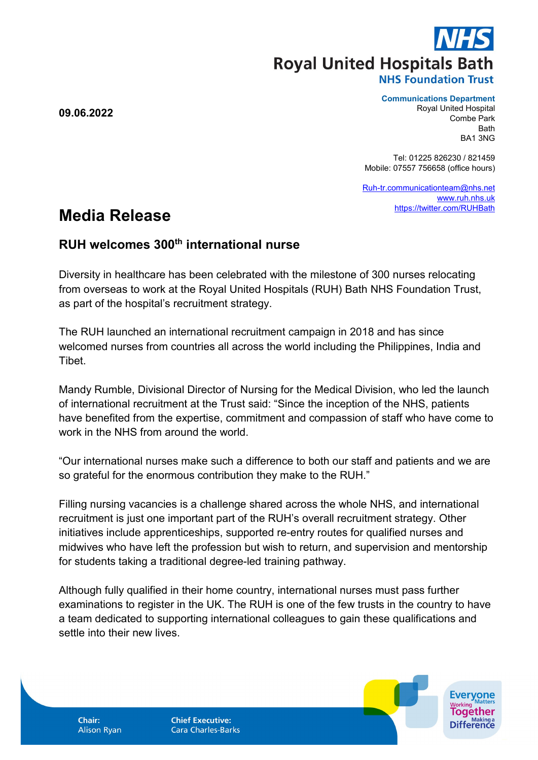**Royal United Hospitals Bath** 

### **NHS Foundation Trust**

**Communications Department**

Royal United Hospital Combe Park **Bath** BA1 3NG

*Evervone* 

**Difference** 

Tel: 01225 826230 / 821459 Mobile: 07557 756658 (office hours)

[Ruh-tr.communicationteam@nhs.net](mailto:Ruh-tr.communicationteam@nhs.net) [www.ruh.nhs.uk](http://www.ruh.nhs.uk/) <https://twitter.com/RUHBath>

# **Media Release**

## **RUH welcomes 300th international nurse**

Diversity in healthcare has been celebrated with the milestone of 300 nurses relocating from overseas to work at the Royal United Hospitals (RUH) Bath NHS Foundation Trust, as part of the hospital's recruitment strategy.

The RUH launched an international recruitment campaign in 2018 and has since welcomed nurses from countries all across the world including the Philippines, India and **Tibet** 

Mandy Rumble, Divisional Director of Nursing for the Medical Division, who led the launch of international recruitment at the Trust said: "Since the inception of the NHS, patients have benefited from the expertise, commitment and compassion of staff who have come to work in the NHS from around the world.

"Our international nurses make such a difference to both our staff and patients and we are so grateful for the enormous contribution they make to the RUH."

Filling nursing vacancies is a challenge shared across the whole NHS, and international recruitment is just one important part of the RUH's overall recruitment strategy. Other initiatives include apprenticeships, supported re-entry routes for qualified nurses and midwives who have left the profession but wish to return, and supervision and mentorship for students taking a traditional degree-led training pathway.

Although fully qualified in their home country, international nurses must pass further examinations to register in the UK. The RUH is one of the few trusts in the country to have a team dedicated to supporting international colleagues to gain these qualifications and settle into their new lives.

**09.06.2022**

Chair: **Alison Ryan**  **Chief Executive: Cara Charles-Barks**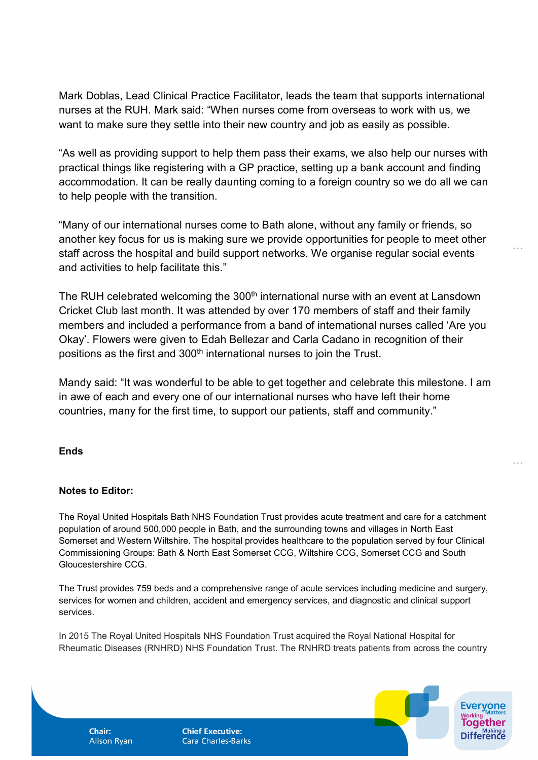Mark Doblas, Lead Clinical Practice Facilitator, leads the team that supports international nurses at the RUH. Mark said: "When nurses come from overseas to work with us, we want to make sure they settle into their new country and job as easily as possible.

"As well as providing support to help them pass their exams, we also help our nurses with practical things like registering with a GP practice, setting up a bank account and finding accommodation. It can be really daunting coming to a foreign country so we do all we can to help people with the transition.

"Many of our international nurses come to Bath alone, without any family or friends, so another key focus for us is making sure we provide opportunities for people to meet other staff across the hospital and build support networks. We organise regular social events and activities to help facilitate this."

…

…

The RUH celebrated welcoming the 300<sup>th</sup> international nurse with an event at Lansdown Cricket Club last month. It was attended by over 170 members of staff and their family members and included a performance from a band of international nurses called 'Are you Okay'. Flowers were given to Edah Bellezar and Carla Cadano in recognition of their positions as the first and 300<sup>th</sup> international nurses to join the Trust.

Mandy said: "It was wonderful to be able to get together and celebrate this milestone. I am in awe of each and every one of our international nurses who have left their home countries, many for the first time, to support our patients, staff and community."

### **Ends**

### **Notes to Editor:**

**Chair: Alison Ryan** 

The Royal United Hospitals Bath NHS Foundation Trust provides acute treatment and care for a catchment population of around 500,000 people in Bath, and the surrounding towns and villages in North East Somerset and Western Wiltshire. The hospital provides healthcare to the population served by four Clinical Commissioning Groups: Bath & North East Somerset CCG, Wiltshire CCG, Somerset CCG and South Gloucestershire CCG.

The Trust provides 759 beds and a comprehensive range of acute services including medicine and surgery, services for women and children, accident and emergency services, and diagnostic and clinical support services.

In 2015 The Royal United Hospitals NHS Foundation Trust acquired the Royal National Hospital for Rheumatic Diseases (RNHRD) NHS Foundation Trust. The RNHRD treats patients from across the country

> **Chief Executive: Cara Charles-Barks**